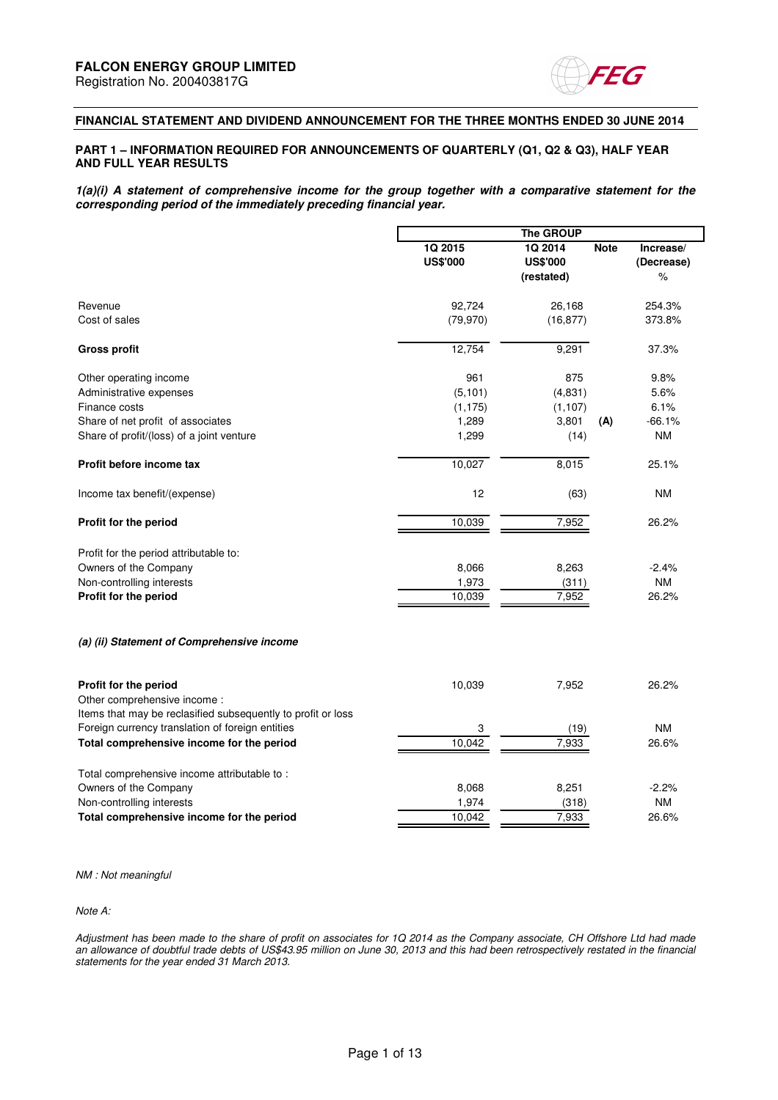

### **FINANCIAL STATEMENT AND DIVIDEND ANNOUNCEMENT FOR THE THREE MONTHS ENDED 30 JUNE 2014**

#### **PART 1 – INFORMATION REQUIRED FOR ANNOUNCEMENTS OF QUARTERLY (Q1, Q2 & Q3), HALF YEAR AND FULL YEAR RESULTS**

**1(a)(i) A statement of comprehensive income for the group together with a comparative statement for the corresponding period of the immediately preceding financial year.** 

|                                                              |                            | The GROUP                                |             |                              |
|--------------------------------------------------------------|----------------------------|------------------------------------------|-------------|------------------------------|
|                                                              | 1Q 2015<br><b>US\$'000</b> | 1Q 2014<br><b>US\$'000</b><br>(restated) | <b>Note</b> | Increase/<br>(Decrease)<br>% |
| Revenue                                                      | 92,724                     | 26,168                                   |             | 254.3%                       |
| Cost of sales                                                | (79, 970)                  | (16, 877)                                |             | 373.8%                       |
| <b>Gross profit</b>                                          | 12,754                     | 9,291                                    |             | 37.3%                        |
| Other operating income                                       | 961                        | 875                                      |             | 9.8%                         |
| Administrative expenses                                      | (5, 101)                   | (4,831)                                  |             | 5.6%                         |
| Finance costs                                                | (1, 175)                   | (1, 107)                                 |             | 6.1%                         |
| Share of net profit of associates                            | 1,289                      | 3,801                                    | (A)         | $-66.1%$                     |
| Share of profit/(loss) of a joint venture                    | 1,299                      | (14)                                     |             | <b>NM</b>                    |
| Profit before income tax                                     | 10,027                     | 8,015                                    |             | 25.1%                        |
| Income tax benefit/(expense)                                 | 12                         | (63)                                     |             | <b>NM</b>                    |
| Profit for the period                                        | 10,039                     | 7,952                                    |             | 26.2%                        |
| Profit for the period attributable to:                       |                            |                                          |             |                              |
| Owners of the Company                                        | 8,066                      | 8,263                                    |             | $-2.4%$                      |
| Non-controlling interests                                    | 1,973                      | (311)                                    |             | <b>NM</b>                    |
| Profit for the period                                        | 10,039                     | 7,952                                    |             | 26.2%                        |
| (a) (ii) Statement of Comprehensive income                   |                            |                                          |             |                              |
| Profit for the period                                        | 10,039                     | 7,952                                    |             | 26.2%                        |
| Other comprehensive income :                                 |                            |                                          |             |                              |
| Items that may be reclasified subsequently to profit or loss |                            |                                          |             |                              |
| Foreign currency translation of foreign entities             | 3                          | (19)                                     |             | <b>NM</b>                    |
| Total comprehensive income for the period                    | 10,042                     | 7,933                                    |             | 26.6%                        |
| Total comprehensive income attributable to:                  |                            |                                          |             |                              |
| Owners of the Company                                        | 8,068                      | 8,251                                    |             | $-2.2%$                      |
| Non-controlling interests                                    | 1,974                      | (318)                                    |             | <b>NM</b>                    |
| Total comprehensive income for the period                    | 10,042                     | 7,933                                    |             | 26.6%                        |
|                                                              |                            |                                          |             |                              |

NM : Not meaningful

Note A:

Adjustment has been made to the share of profit on associates for 1Q 2014 as the Company associate, CH Offshore Ltd had made an allowance of doubtful trade debts of US\$43.95 million on June 30, 2013 and this had been retrospectively restated in the financial statements for the year ended 31 March 2013.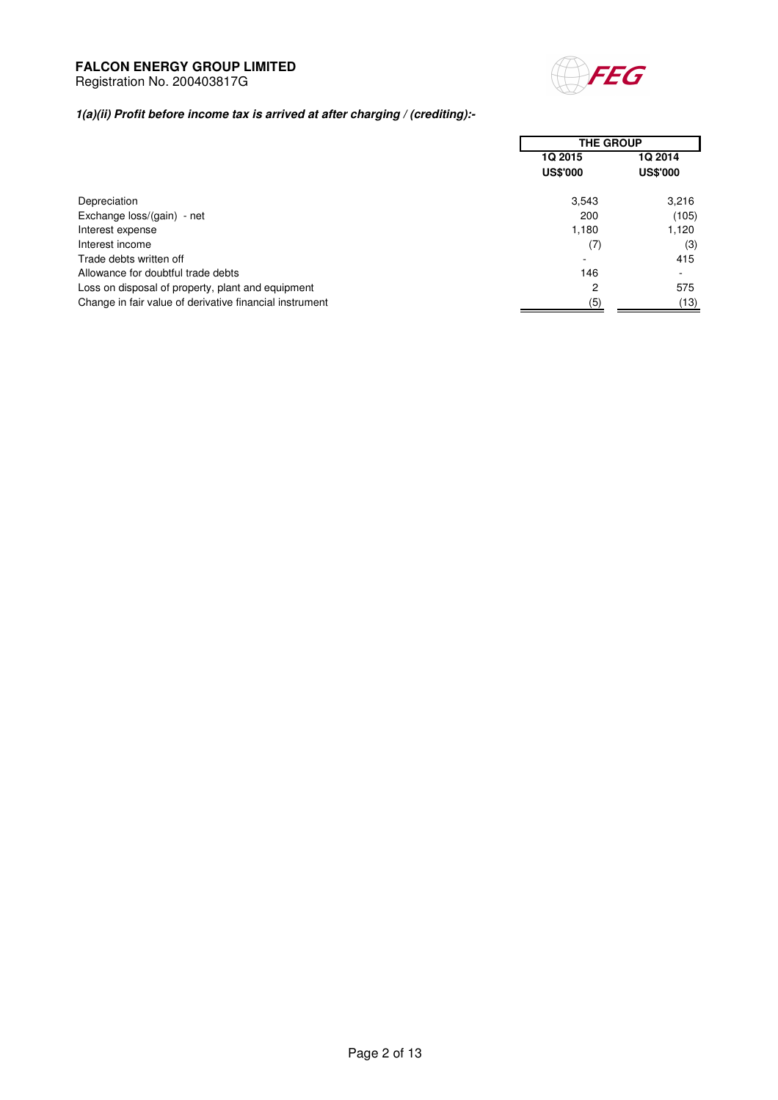

# Registration No. 200403817G

# **1(a)(ii) Profit before income tax is arrived at after charging / (crediting):-**

|                                                         | <b>THE GROUP</b>                  |                                   |
|---------------------------------------------------------|-----------------------------------|-----------------------------------|
|                                                         | <b>1Q 2015</b><br><b>US\$'000</b> | <b>1Q 2014</b><br><b>US\$'000</b> |
| Depreciation                                            | 3,543                             | 3,216                             |
| Exchange loss/(gain) - net                              | 200                               | (105)                             |
| Interest expense                                        | 1,180                             | 1,120                             |
| Interest income                                         | (7)                               | (3)                               |
| Trade debts written off                                 | $\overline{\phantom{0}}$          | 415                               |
| Allowance for doubtful trade debts                      | 146                               |                                   |
| Loss on disposal of property, plant and equipment       | 2                                 | 575                               |
| Change in fair value of derivative financial instrument | (5)                               | (13)                              |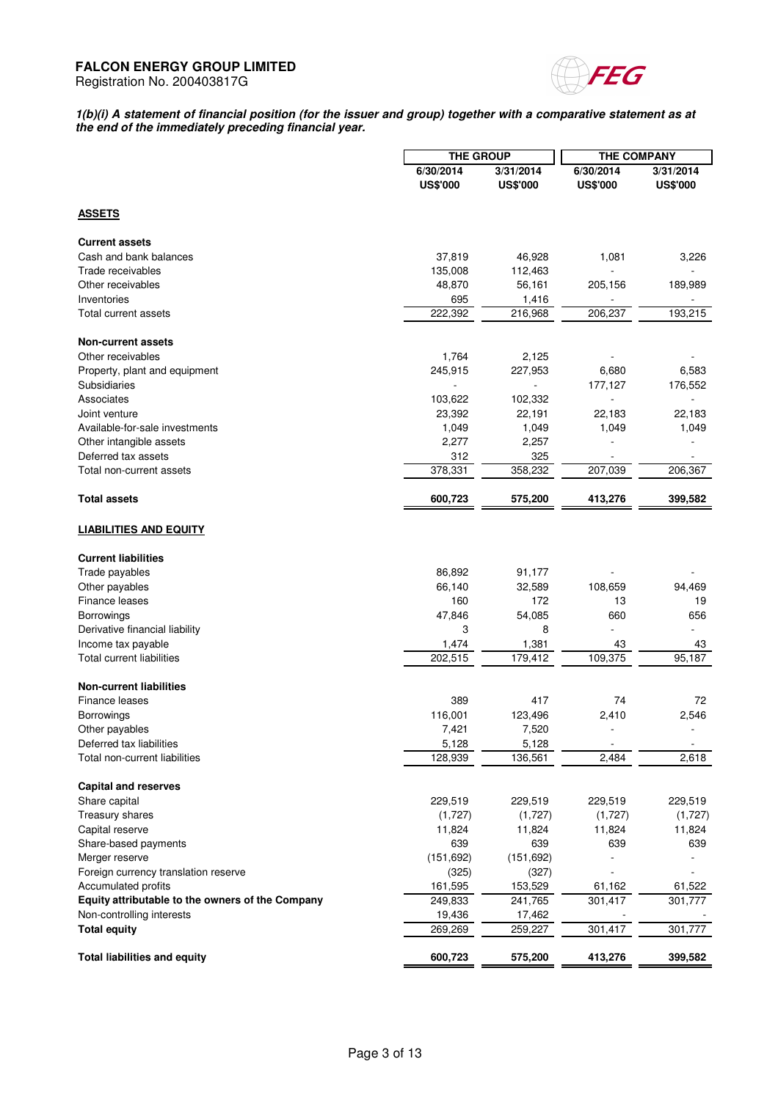

#### **1(b)(i) A statement of financial position (for the issuer and group) together with a comparative statement as at the end of the immediately preceding financial year.**

|                                                  |                 | <b>THE GROUP</b> |                 | <b>THE COMPANY</b> |
|--------------------------------------------------|-----------------|------------------|-----------------|--------------------|
|                                                  | 6/30/2014       | 3/31/2014        | 6/30/2014       | 3/31/2014          |
|                                                  | <b>US\$'000</b> | <b>US\$'000</b>  | <b>US\$'000</b> | <b>US\$'000</b>    |
|                                                  |                 |                  |                 |                    |
| <b>ASSETS</b>                                    |                 |                  |                 |                    |
| <b>Current assets</b>                            |                 |                  |                 |                    |
| Cash and bank balances                           | 37,819          | 46,928           | 1,081           | 3,226              |
| Trade receivables                                | 135,008         | 112,463          |                 |                    |
| Other receivables                                | 48,870          | 56,161           | 205,156         | 189,989            |
| Inventories                                      | 695             | 1,416            |                 |                    |
| Total current assets                             | 222,392         | 216,968          | 206,237         | 193,215            |
| <b>Non-current assets</b>                        |                 |                  |                 |                    |
| Other receivables                                | 1,764           | 2,125            |                 |                    |
| Property, plant and equipment                    | 245,915         | 227,953          | 6,680           | 6,583              |
| Subsidiaries                                     |                 |                  | 177,127         | 176,552            |
| Associates                                       | 103,622         | 102,332          |                 |                    |
| Joint venture                                    | 23,392          | 22,191           | 22,183          | 22,183             |
| Available-for-sale investments                   | 1,049           | 1,049            | 1,049           | 1,049              |
|                                                  |                 | 2,257            |                 |                    |
| Other intangible assets                          | 2,277           | 325              |                 |                    |
| Deferred tax assets<br>Total non-current assets  | 312<br>378,331  |                  |                 | 206,367            |
|                                                  |                 | 358,232          | 207,039         |                    |
| <b>Total assets</b>                              | 600,723         | 575,200          | 413,276         | 399,582            |
| <b>LIABILITIES AND EQUITY</b>                    |                 |                  |                 |                    |
| <b>Current liabilities</b>                       |                 |                  |                 |                    |
| Trade payables                                   | 86,892          | 91,177           |                 |                    |
| Other payables                                   | 66,140          | 32,589           | 108,659         | 94,469             |
| Finance leases                                   | 160             | 172              | 13              | 19                 |
| Borrowings                                       | 47,846          | 54,085           | 660             | 656                |
| Derivative financial liability                   | 3               | 8                | L.              |                    |
| Income tax payable                               | 1,474           | 1,381            | 43              | 43                 |
| <b>Total current liabilities</b>                 | 202,515         | 179,412          | 109,375         | 95,187             |
|                                                  |                 |                  |                 |                    |
| <b>Non-current liabilities</b>                   |                 |                  |                 |                    |
| Finance leases                                   | 389             | 417              | 74              | 72                 |
| <b>Borrowings</b>                                | 116,001         | 123,496          | 2,410           | 2,546              |
| Other payables                                   | 7,421           | 7,520            | -               | ٠                  |
| Deferred tax liabilities                         | 5,128           | 5,128            |                 |                    |
| Total non-current liabilities                    | 128,939         | 136,561          | 2,484           | 2,618              |
| <b>Capital and reserves</b>                      |                 |                  |                 |                    |
| Share capital                                    | 229,519         | 229,519          | 229,519         | 229,519            |
| Treasury shares                                  | (1,727)         | (1,727)          | (1,727)         | (1,727)            |
| Capital reserve                                  | 11,824          | 11,824           | 11,824          | 11,824             |
| Share-based payments                             | 639             | 639              | 639             | 639                |
| Merger reserve                                   | (151, 692)      | (151, 692)       |                 |                    |
| Foreign currency translation reserve             | (325)           | (327)            |                 |                    |
| Accumulated profits                              | 161,595         | 153,529          | 61,162          | 61,522             |
| Equity attributable to the owners of the Company | 249,833         | 241,765          | 301,417         | 301,777            |
| Non-controlling interests                        | 19,436          | 17,462           |                 |                    |
| <b>Total equity</b>                              | 269,269         | 259,227          | 301,417         | 301,777            |
| <b>Total liabilities and equity</b>              | 600,723         | 575,200          | 413,276         | 399,582            |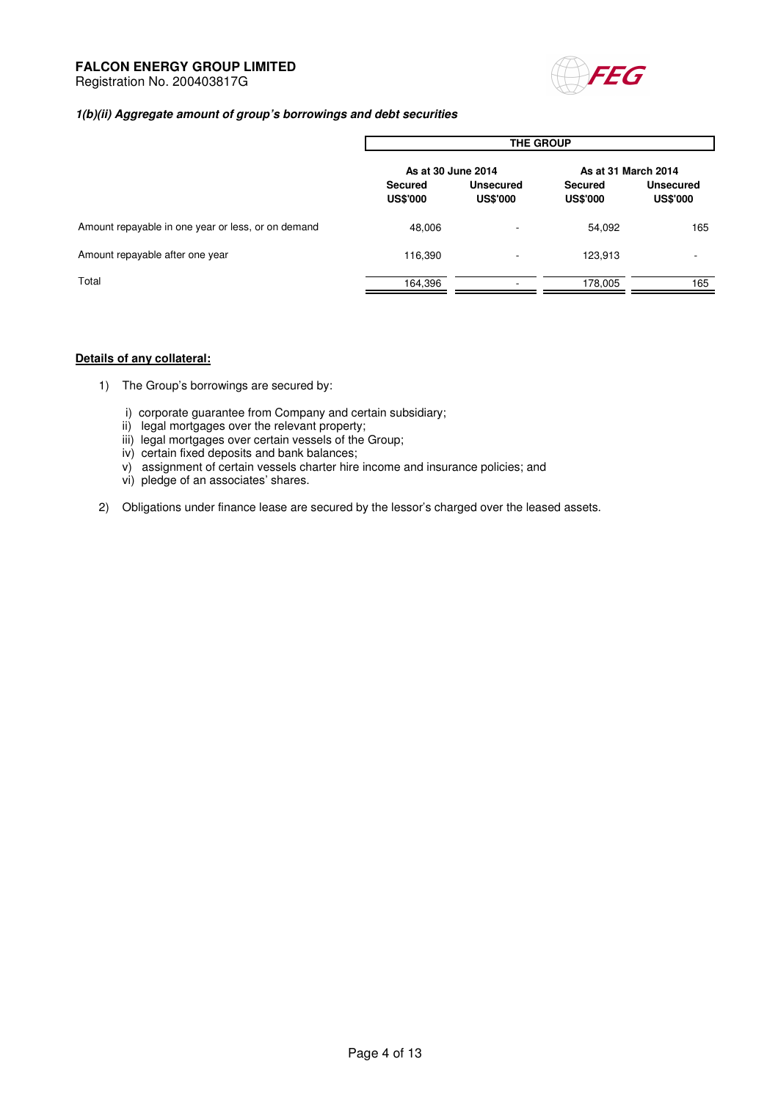

### **1(b)(ii) Aggregate amount of group's borrowings and debt securities**

|                                                    | <b>THE GROUP</b>                  |                              |                                   |                                     |  |
|----------------------------------------------------|-----------------------------------|------------------------------|-----------------------------------|-------------------------------------|--|
|                                                    | As at 30 June 2014                |                              | As at 31 March 2014               |                                     |  |
|                                                    | <b>Secured</b><br><b>US\$'000</b> | Unsecured<br><b>US\$'000</b> | <b>Secured</b><br><b>US\$'000</b> | <b>Unsecured</b><br><b>US\$'000</b> |  |
| Amount repayable in one year or less, or on demand | 48,006                            | ۰.                           | 54,092                            | 165                                 |  |
| Amount repayable after one year                    | 116,390                           | -                            | 123,913                           | ۰                                   |  |
| Total                                              | 164,396                           |                              | 178,005                           | 165                                 |  |

### **Details of any collateral:**

- 1) The Group's borrowings are secured by:
	- i) corporate guarantee from Company and certain subsidiary;
	- ii) legal mortgages over the relevant property;
	- iii) legal mortgages over certain vessels of the Group;
	- iv) certain fixed deposits and bank balances;
	- v) assignment of certain vessels charter hire income and insurance policies; and
	- vi) pledge of an associates' shares.
- 2) Obligations under finance lease are secured by the lessor's charged over the leased assets.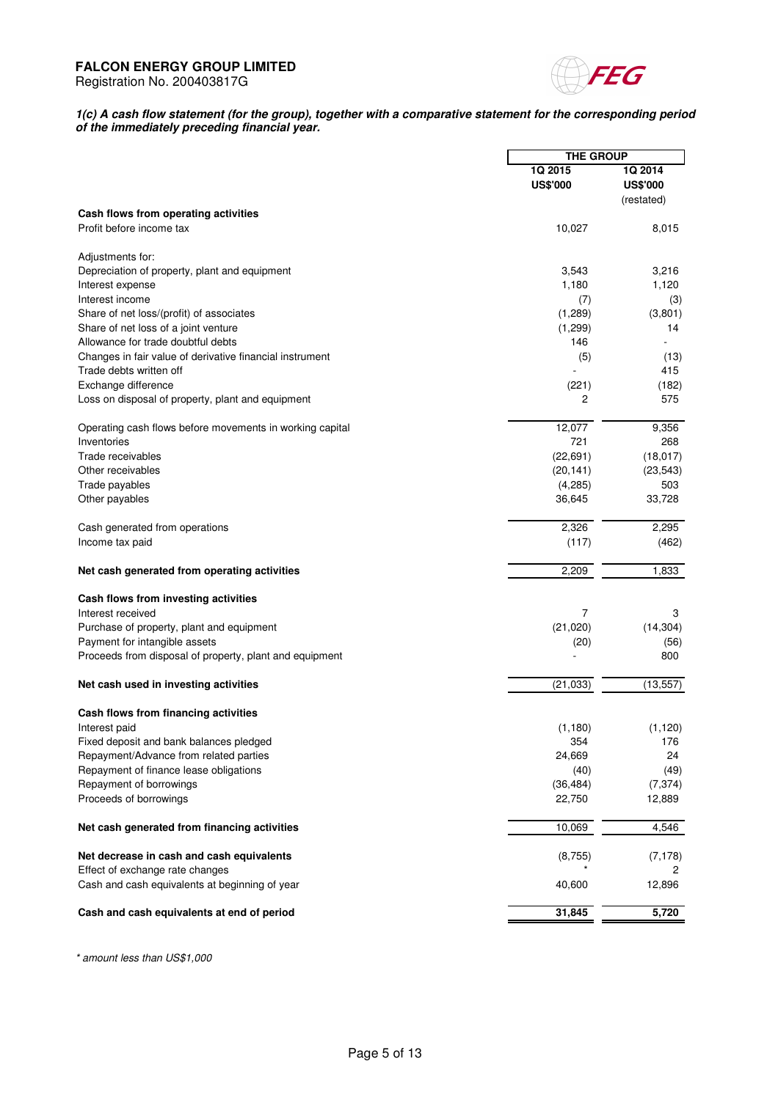

#### **1(c) A cash flow statement (for the group), together with a comparative statement for the corresponding period of the immediately preceding financial year.**

|                                                          | <b>THE GROUP</b> |                 |
|----------------------------------------------------------|------------------|-----------------|
|                                                          |                  |                 |
|                                                          | 1Q 2015          | 1Q 2014         |
|                                                          | <b>US\$'000</b>  | <b>US\$'000</b> |
|                                                          |                  | (restated)      |
| Cash flows from operating activities                     |                  |                 |
| Profit before income tax                                 | 10,027           | 8,015           |
|                                                          |                  |                 |
| Adjustments for:                                         |                  |                 |
| Depreciation of property, plant and equipment            | 3,543            | 3,216           |
| Interest expense                                         | 1,180            | 1,120           |
| Interest income                                          | (7)              | (3)             |
| Share of net loss/(profit) of associates                 | (1,289)          | (3,801)         |
| Share of net loss of a joint venture                     | (1,299)          | 14              |
| Allowance for trade doubtful debts                       | 146              |                 |
| Changes in fair value of derivative financial instrument |                  |                 |
|                                                          | (5)              | (13)            |
| Trade debts written off                                  |                  | 415             |
| Exchange difference                                      | (221)            | (182)           |
| Loss on disposal of property, plant and equipment        | 2                | 575             |
| Operating cash flows before movements in working capital | 12,077           | 9,356           |
| Inventories                                              | 721              | 268             |
| Trade receivables                                        | (22, 691)        | (18, 017)       |
| Other receivables                                        | (20, 141)        | (23, 543)       |
| Trade payables                                           | (4,285)          | 503             |
|                                                          |                  | 33,728          |
| Other payables                                           | 36,645           |                 |
| Cash generated from operations                           | 2,326            | 2,295           |
| Income tax paid                                          | (117)            | (462)           |
| Net cash generated from operating activities             | 2,209            | 1,833           |
|                                                          |                  |                 |
| Cash flows from investing activities                     |                  |                 |
| Interest received                                        | 7                | 3               |
| Purchase of property, plant and equipment                | (21,020)         | (14, 304)       |
| Payment for intangible assets                            | (20)             | (56)            |
| Proceeds from disposal of property, plant and equipment  |                  | 800             |
| Net cash used in investing activities                    | (21, 033)        | (13, 557)       |
|                                                          |                  |                 |
| Cash flows from financing activities                     |                  |                 |
| Interest paid                                            | (1, 180)         | (1, 120)        |
| Fixed deposit and bank balances pledged                  | 354              | 176             |
| Repayment/Advance from related parties                   | 24,669           | 24              |
| Repayment of finance lease obligations                   | (40)             | (49)            |
| Repayment of borrowings                                  | (36, 484)        | (7, 374)        |
| Proceeds of borrowings                                   | 22,750           | 12,889          |
| Net cash generated from financing activities             | 10,069           | 4,546           |
|                                                          |                  |                 |
| Net decrease in cash and cash equivalents                | (8,755)          | (7, 178)        |
| Effect of exchange rate changes                          |                  | 2               |
| Cash and cash equivalents at beginning of year           | 40,600           | 12,896          |
| Cash and cash equivalents at end of period               | 31,845           | 5,720           |
|                                                          |                  |                 |

\* amount less than US\$1,000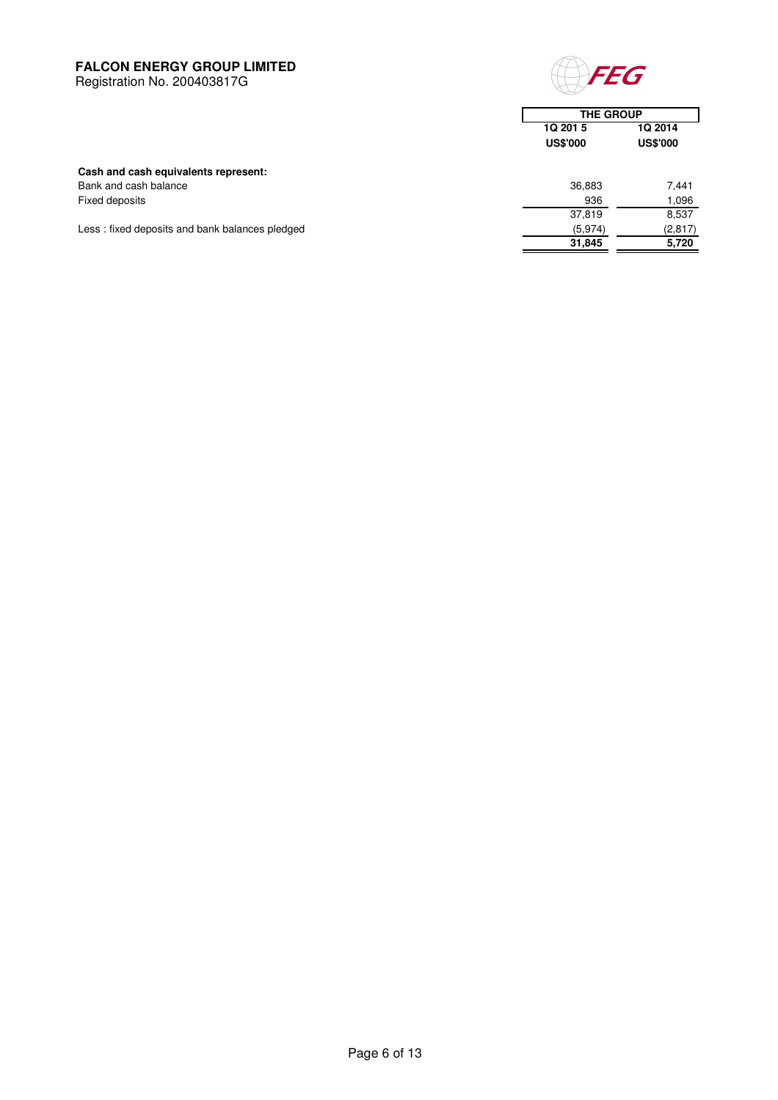Registration No. 200403817G



 **31,845 5,720**

|                                                | <b>THE GROUP</b>            |                            |
|------------------------------------------------|-----------------------------|----------------------------|
|                                                | 1Q 201 5<br><b>US\$'000</b> | 1Q 2014<br><b>US\$'000</b> |
| Cash and cash equivalents represent:           |                             |                            |
| Bank and cash balance                          | 36,883                      | 7.441                      |
| Fixed deposits                                 | 936                         | 1,096                      |
|                                                | 37,819                      | 8,537                      |
| Less: fixed deposits and bank balances pledged | (5,974)                     | (2, 817)                   |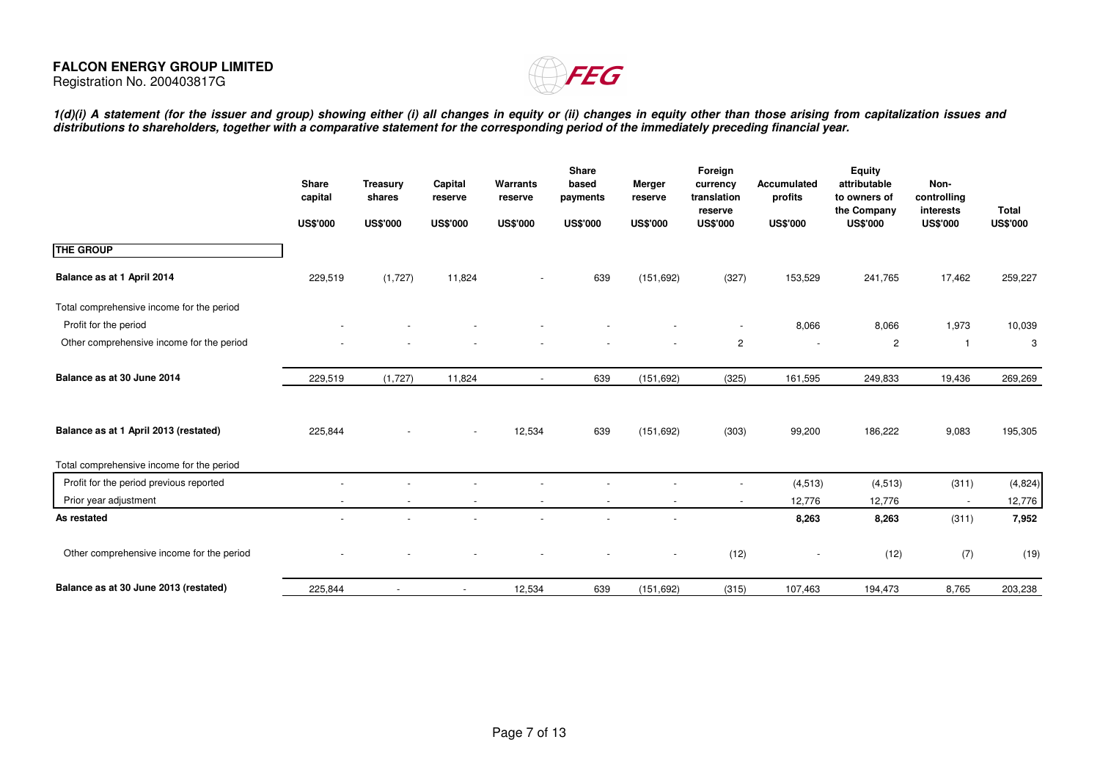

1(d)(i) A statement (for the issuer and group) showing either (i) all changes in equity or (ii) changes in equity other than those arising from capitalization issues and<br>distributions to shareholders, together with a compa

|                                           | Share<br>capital<br><b>US\$'000</b> | <b>Treasury</b><br>shares<br><b>US\$'000</b> | Capital<br>reserve<br><b>US\$'000</b> | Warrants<br>reserve<br><b>US\$'000</b> | Share<br>based<br>payments<br><b>US\$'000</b> | Merger<br>reserve<br><b>US\$'000</b> | Foreign<br>currency<br>translation<br>reserve<br><b>US\$'000</b> | Accumulated<br>profits<br><b>US\$'000</b> | <b>Equity</b><br>attributable<br>to owners of<br>the Company<br><b>US\$'000</b> | Non-<br>controlling<br>interests<br><b>US\$'000</b> | <b>Total</b><br><b>US\$'000</b> |
|-------------------------------------------|-------------------------------------|----------------------------------------------|---------------------------------------|----------------------------------------|-----------------------------------------------|--------------------------------------|------------------------------------------------------------------|-------------------------------------------|---------------------------------------------------------------------------------|-----------------------------------------------------|---------------------------------|
| <b>THE GROUP</b>                          |                                     |                                              |                                       |                                        |                                               |                                      |                                                                  |                                           |                                                                                 |                                                     |                                 |
| Balance as at 1 April 2014                | 229,519                             | (1,727)                                      | 11,824                                |                                        | 639                                           | (151, 692)                           | (327)                                                            | 153,529                                   | 241,765                                                                         | 17,462                                              | 259,227                         |
| Total comprehensive income for the period |                                     |                                              |                                       |                                        |                                               |                                      |                                                                  |                                           |                                                                                 |                                                     |                                 |
| Profit for the period                     |                                     |                                              |                                       |                                        |                                               |                                      |                                                                  | 8,066                                     | 8,066                                                                           | 1,973                                               | 10,039                          |
| Other comprehensive income for the period |                                     |                                              |                                       |                                        |                                               |                                      | $\overline{2}$                                                   | $\overline{\phantom{a}}$                  | $\overline{2}$                                                                  | $\mathbf{1}$                                        | 3                               |
| Balance as at 30 June 2014                | 229,519                             | (1,727)                                      | 11,824                                | $\blacksquare$                         | 639                                           | (151, 692)                           | (325)                                                            | 161,595                                   | 249,833                                                                         | 19,436                                              | 269,269                         |
| Balance as at 1 April 2013 (restated)     | 225,844                             |                                              |                                       | 12,534                                 | 639                                           | (151, 692)                           | (303)                                                            | 99,200                                    | 186,222                                                                         | 9,083                                               | 195,305                         |
| Total comprehensive income for the period |                                     |                                              |                                       |                                        |                                               |                                      |                                                                  |                                           |                                                                                 |                                                     |                                 |
| Profit for the period previous reported   |                                     |                                              |                                       |                                        |                                               |                                      |                                                                  | (4, 513)                                  | (4, 513)                                                                        | (311)                                               | (4,824)                         |
| Prior year adjustment                     | $\overline{\phantom{a}}$            | $\overline{\phantom{a}}$                     | $\overline{\phantom{a}}$              | $\overline{\phantom{a}}$               | $\overline{\phantom{a}}$                      |                                      | $\sim$                                                           | 12,776                                    | 12,776                                                                          | $\blacksquare$                                      | 12,776                          |
| As restated                               |                                     |                                              |                                       |                                        |                                               |                                      |                                                                  | 8,263                                     | 8,263                                                                           | (311)                                               | 7,952                           |
| Other comprehensive income for the period |                                     |                                              |                                       |                                        |                                               |                                      | (12)                                                             |                                           | (12)                                                                            | (7)                                                 | (19)                            |
| Balance as at 30 June 2013 (restated)     | 225,844                             | $\overline{\phantom{a}}$                     | $\overline{\phantom{a}}$              | 12,534                                 | 639                                           | (151, 692)                           | (315)                                                            | 107,463                                   | 194,473                                                                         | 8,765                                               | 203,238                         |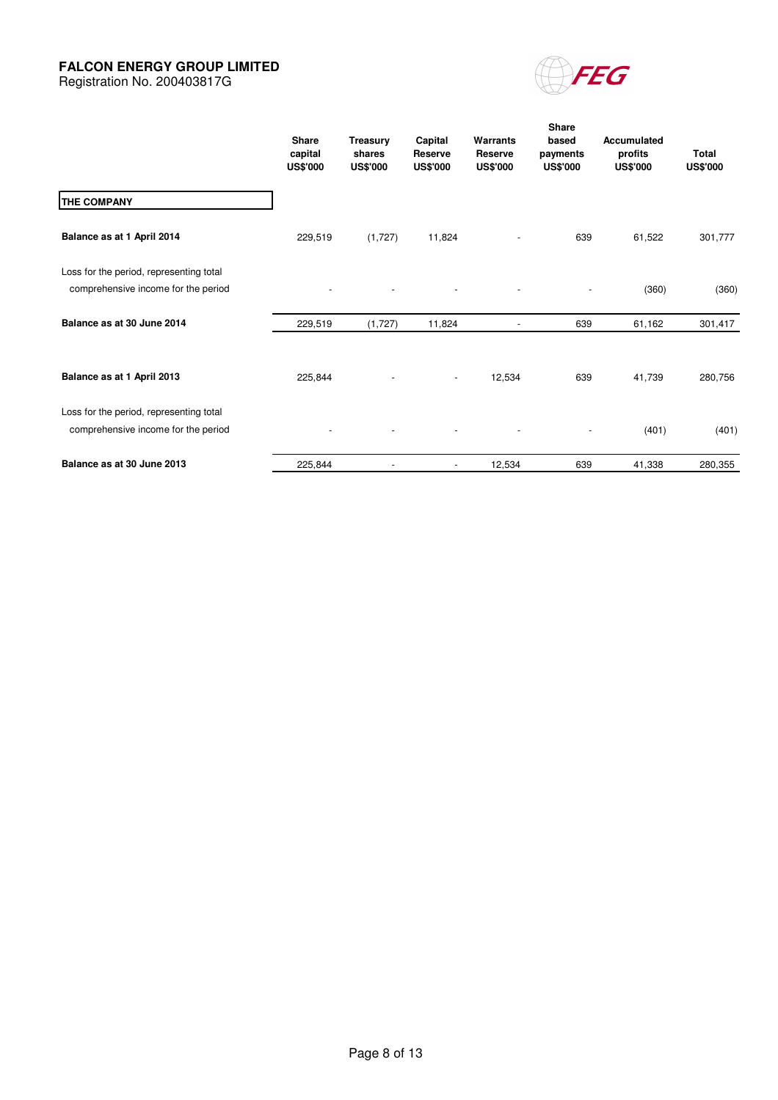Registration No. 200403817G



|                                                                                | <b>Share</b><br>capital<br><b>US\$'000</b> | Treasury<br>shares<br><b>US\$'000</b> | Capital<br>Reserve<br><b>US\$'000</b> | Warrants<br><b>Reserve</b><br><b>US\$'000</b> | <b>Share</b><br>based<br>payments<br><b>US\$'000</b> | <b>Accumulated</b><br>profits<br><b>US\$'000</b> | <b>Total</b><br><b>US\$'000</b> |
|--------------------------------------------------------------------------------|--------------------------------------------|---------------------------------------|---------------------------------------|-----------------------------------------------|------------------------------------------------------|--------------------------------------------------|---------------------------------|
| <b>THE COMPANY</b>                                                             |                                            |                                       |                                       |                                               |                                                      |                                                  |                                 |
| Balance as at 1 April 2014                                                     | 229,519                                    | (1,727)                               | 11,824                                |                                               | 639                                                  | 61,522                                           | 301,777                         |
| Loss for the period, representing total<br>comprehensive income for the period |                                            |                                       |                                       |                                               |                                                      | (360)                                            | (360)                           |
| Balance as at 30 June 2014                                                     | 229,519                                    | (1,727)                               | 11,824                                |                                               | 639                                                  | 61,162                                           | 301,417                         |
| Balance as at 1 April 2013                                                     | 225,844                                    |                                       | $\overline{\phantom{a}}$              | 12,534                                        | 639                                                  | 41,739                                           | 280,756                         |
| Loss for the period, representing total<br>comprehensive income for the period |                                            |                                       |                                       |                                               |                                                      | (401)                                            | (401)                           |
| Balance as at 30 June 2013                                                     | 225,844                                    |                                       | $\overline{\phantom{a}}$              | 12,534                                        | 639                                                  | 41,338                                           | 280,355                         |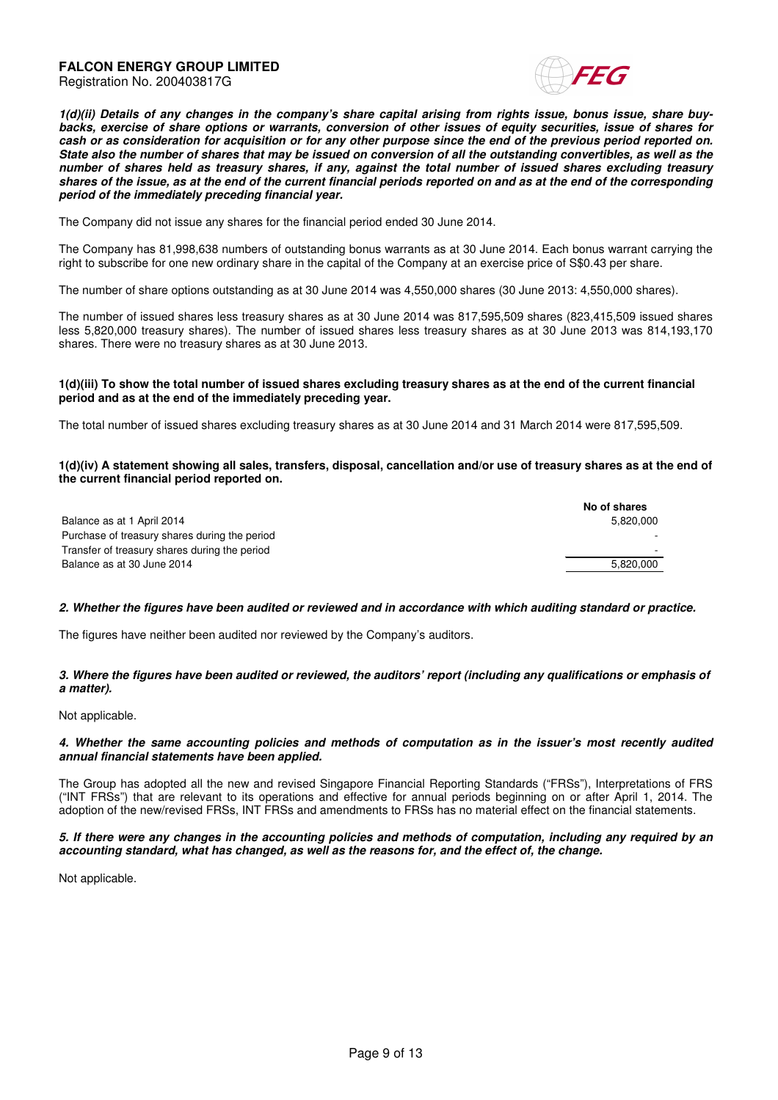



**1(d)(ii) Details of any changes in the company's share capital arising from rights issue, bonus issue, share buybacks, exercise of share options or warrants, conversion of other issues of equity securities, issue of shares for cash or as consideration for acquisition or for any other purpose since the end of the previous period reported on. State also the number of shares that may be issued on conversion of all the outstanding convertibles, as well as the number of shares held as treasury shares, if any, against the total number of issued shares excluding treasury shares of the issue, as at the end of the current financial periods reported on and as at the end of the corresponding period of the immediately preceding financial year.**

The Company did not issue any shares for the financial period ended 30 June 2014.

The Company has 81,998,638 numbers of outstanding bonus warrants as at 30 June 2014. Each bonus warrant carrying the right to subscribe for one new ordinary share in the capital of the Company at an exercise price of S\$0.43 per share.

The number of share options outstanding as at 30 June 2014 was 4,550,000 shares (30 June 2013: 4,550,000 shares).

The number of issued shares less treasury shares as at 30 June 2014 was 817,595,509 shares (823,415,509 issued shares less 5,820,000 treasury shares). The number of issued shares less treasury shares as at 30 June 2013 was 814,193,170 shares. There were no treasury shares as at 30 June 2013.

#### **1(d)(iii) To show the total number of issued shares excluding treasury shares as at the end of the current financial period and as at the end of the immediately preceding year.**

The total number of issued shares excluding treasury shares as at 30 June 2014 and 31 March 2014 were 817,595,509.

#### **1(d)(iv) A statement showing all sales, transfers, disposal, cancellation and/or use of treasury shares as at the end of the current financial period reported on.**

|                                               | No of shares |
|-----------------------------------------------|--------------|
| Balance as at 1 April 2014                    | 5.820.000    |
| Purchase of treasury shares during the period |              |
| Transfer of treasury shares during the period |              |
| Balance as at 30 June 2014                    | 5.820.000    |

#### **2. Whether the figures have been audited or reviewed and in accordance with which auditing standard or practice.**

The figures have neither been audited nor reviewed by the Company's auditors.

#### **3. Where the figures have been audited or reviewed, the auditors' report (including any qualifications or emphasis of a matter).**

Not applicable.

#### **4. Whether the same accounting policies and methods of computation as in the issuer's most recently audited annual financial statements have been applied.**

The Group has adopted all the new and revised Singapore Financial Reporting Standards ("FRSs"), Interpretations of FRS ("INT FRSs") that are relevant to its operations and effective for annual periods beginning on or after April 1, 2014. The adoption of the new/revised FRSs, INT FRSs and amendments to FRSs has no material effect on the financial statements.

#### **5. If there were any changes in the accounting policies and methods of computation, including any required by an accounting standard, what has changed, as well as the reasons for, and the effect of, the change.**

Not applicable.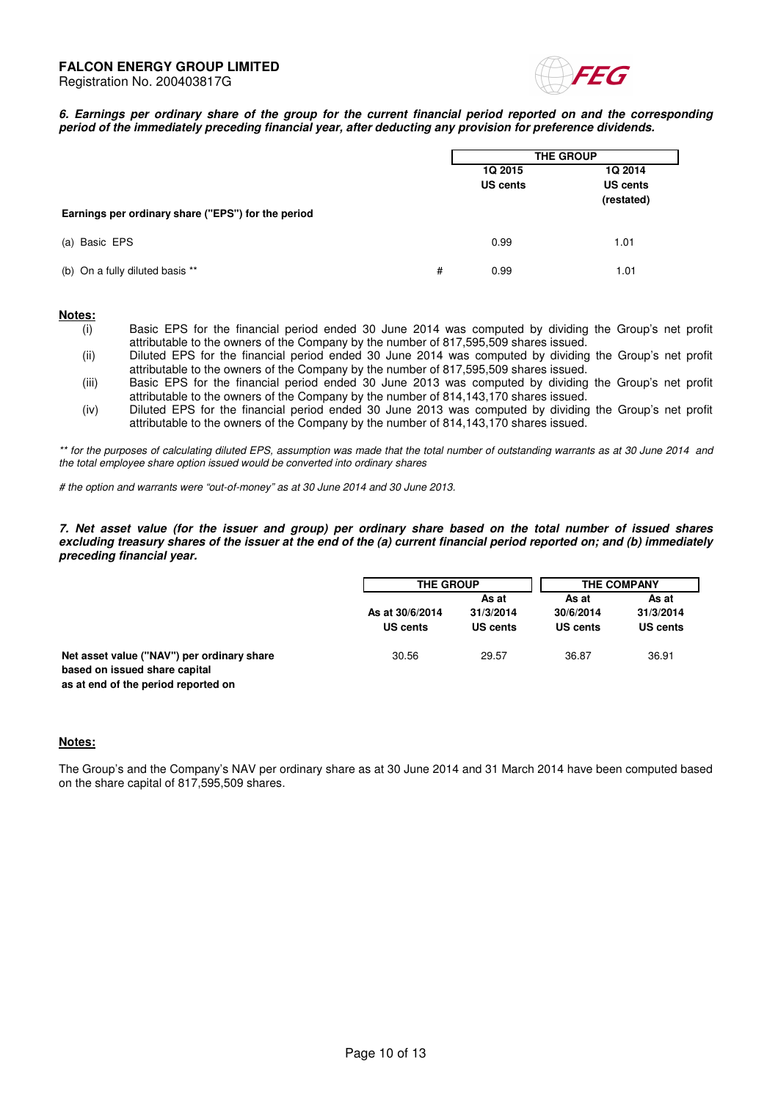

**6. Earnings per ordinary share of the group for the current financial period reported on and the corresponding period of the immediately preceding financial year, after deducting any provision for preference dividends.** 

|                                                    | <b>THE GROUP</b> |                 |                 |
|----------------------------------------------------|------------------|-----------------|-----------------|
|                                                    |                  | 1Q 2015         | 1Q 2014         |
|                                                    |                  | <b>US cents</b> | <b>US cents</b> |
|                                                    |                  |                 | (restated)      |
| Earnings per ordinary share ("EPS") for the period |                  |                 |                 |
| (a) Basic EPS                                      | 0.99             |                 | 1.01            |
|                                                    |                  |                 |                 |
| (b) On a fully diluted basis **<br>#               | 0.99             |                 | 1.01            |
|                                                    |                  |                 |                 |

#### **Notes:**

- (i) Basic EPS for the financial period ended 30 June 2014 was computed by dividing the Group's net profit attributable to the owners of the Company by the number of 817,595,509 shares issued.
- (ii) Diluted EPS for the financial period ended 30 June 2014 was computed by dividing the Group's net profit attributable to the owners of the Company by the number of 817,595,509 shares issued.
- (iii) Basic EPS for the financial period ended 30 June 2013 was computed by dividing the Group's net profit attributable to the owners of the Company by the number of 814,143,170 shares issued.
- (iv) Diluted EPS for the financial period ended 30 June 2013 was computed by dividing the Group's net profit attributable to the owners of the Company by the number of 814,143,170 shares issued.

\*\* for the purposes of calculating diluted EPS, assumption was made that the total number of outstanding warrants as at 30 June 2014 and the total employee share option issued would be converted into ordinary shares

# the option and warrants were "out-of-money" as at 30 June 2014 and 30 June 2013.

**7. Net asset value (for the issuer and group) per ordinary share based on the total number of issued shares excluding treasury shares of the issuer at the end of the (a) current financial period reported on; and (b) immediately preceding financial year.** 

|                                                                             | <b>THE GROUP</b>            |                                | <b>THE COMPANY</b>             |                                |
|-----------------------------------------------------------------------------|-----------------------------|--------------------------------|--------------------------------|--------------------------------|
|                                                                             | As at 30/6/2014<br>US cents | As at<br>31/3/2014<br>US cents | As at<br>30/6/2014<br>US cents | As at<br>31/3/2014<br>US cents |
| Net asset value ("NAV") per ordinary share<br>based on issued share capital | 30.56                       | 29.57                          | 36.87                          | 36.91                          |

# **Notes:**

**as at end of the period reported on**

The Group's and the Company's NAV per ordinary share as at 30 June 2014 and 31 March 2014 have been computed based on the share capital of 817,595,509 shares.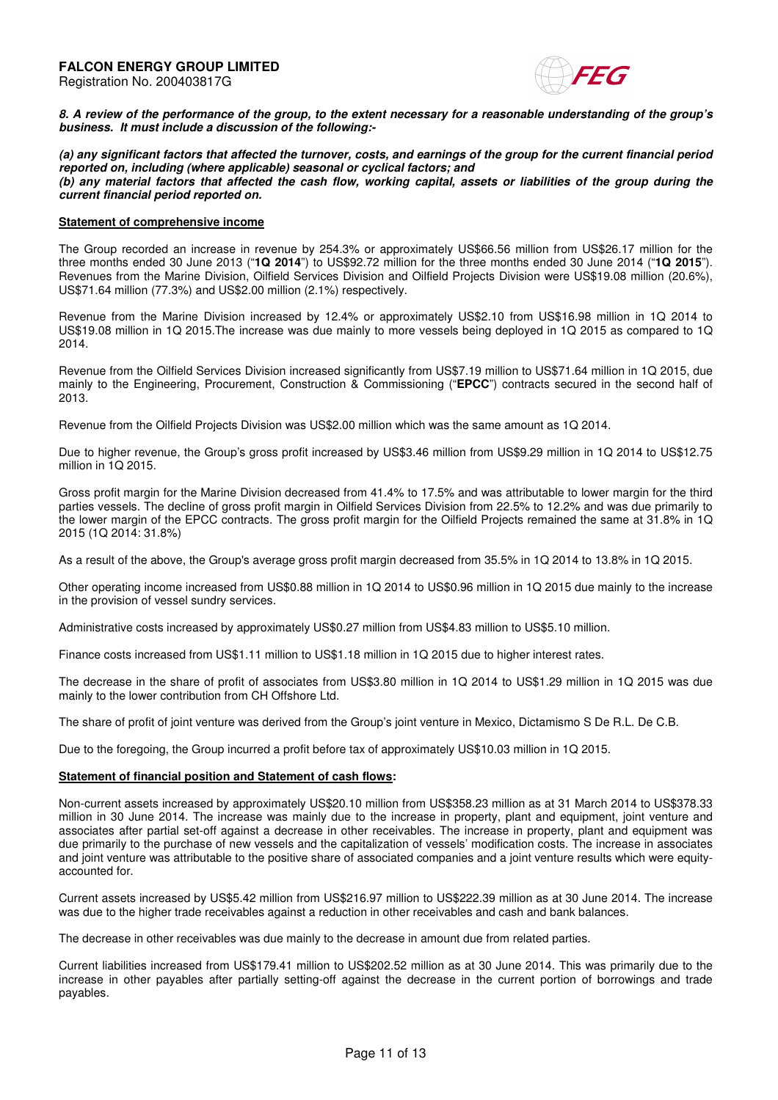

**8. A review of the performance of the group, to the extent necessary for a reasonable understanding of the group's business. It must include a discussion of the following:-** 

**(a) any significant factors that affected the turnover, costs, and earnings of the group for the current financial period reported on, including (where applicable) seasonal or cyclical factors; and (b) any material factors that affected the cash flow, working capital, assets or liabilities of the group during the current financial period reported on.** 

#### **Statement of comprehensive income**

The Group recorded an increase in revenue by 254.3% or approximately US\$66.56 million from US\$26.17 million for the three months ended 30 June 2013 ("**1Q 2014**") to US\$92.72 million for the three months ended 30 June 2014 ("**1Q 2015**"). Revenues from the Marine Division, Oilfield Services Division and Oilfield Projects Division were US\$19.08 million (20.6%), US\$71.64 million (77.3%) and US\$2.00 million (2.1%) respectively.

Revenue from the Marine Division increased by 12.4% or approximately US\$2.10 from US\$16.98 million in 1Q 2014 to US\$19.08 million in 1Q 2015.The increase was due mainly to more vessels being deployed in 1Q 2015 as compared to 1Q 2014.

Revenue from the Oilfield Services Division increased significantly from US\$7.19 million to US\$71.64 million in 1Q 2015, due mainly to the Engineering, Procurement, Construction & Commissioning ("**EPCC**") contracts secured in the second half of 2013.

Revenue from the Oilfield Projects Division was US\$2.00 million which was the same amount as 1Q 2014.

Due to higher revenue, the Group's gross profit increased by US\$3.46 million from US\$9.29 million in 1Q 2014 to US\$12.75 million in 1Q 2015.

Gross profit margin for the Marine Division decreased from 41.4% to 17.5% and was attributable to lower margin for the third parties vessels. The decline of gross profit margin in Oilfield Services Division from 22.5% to 12.2% and was due primarily to the lower margin of the EPCC contracts. The gross profit margin for the Oilfield Projects remained the same at 31.8% in 1Q 2015 (1Q 2014: 31.8%)

As a result of the above, the Group's average gross profit margin decreased from 35.5% in 1Q 2014 to 13.8% in 1Q 2015.

Other operating income increased from US\$0.88 million in 1Q 2014 to US\$0.96 million in 1Q 2015 due mainly to the increase in the provision of vessel sundry services.

Administrative costs increased by approximately US\$0.27 million from US\$4.83 million to US\$5.10 million.

Finance costs increased from US\$1.11 million to US\$1.18 million in 1Q 2015 due to higher interest rates.

The decrease in the share of profit of associates from US\$3.80 million in 1Q 2014 to US\$1.29 million in 1Q 2015 was due mainly to the lower contribution from CH Offshore Ltd.

The share of profit of joint venture was derived from the Group's joint venture in Mexico, Dictamismo S De R.L. De C.B.

Due to the foregoing, the Group incurred a profit before tax of approximately US\$10.03 million in 1Q 2015.

#### **Statement of financial position and Statement of cash flows:**

Non-current assets increased by approximately US\$20.10 million from US\$358.23 million as at 31 March 2014 to US\$378.33 million in 30 June 2014. The increase was mainly due to the increase in property, plant and equipment, joint venture and associates after partial set-off against a decrease in other receivables. The increase in property, plant and equipment was due primarily to the purchase of new vessels and the capitalization of vessels' modification costs. The increase in associates and joint venture was attributable to the positive share of associated companies and a joint venture results which were equityaccounted for.

Current assets increased by US\$5.42 million from US\$216.97 million to US\$222.39 million as at 30 June 2014. The increase was due to the higher trade receivables against a reduction in other receivables and cash and bank balances.

The decrease in other receivables was due mainly to the decrease in amount due from related parties.

Current liabilities increased from US\$179.41 million to US\$202.52 million as at 30 June 2014. This was primarily due to the increase in other payables after partially setting-off against the decrease in the current portion of borrowings and trade payables.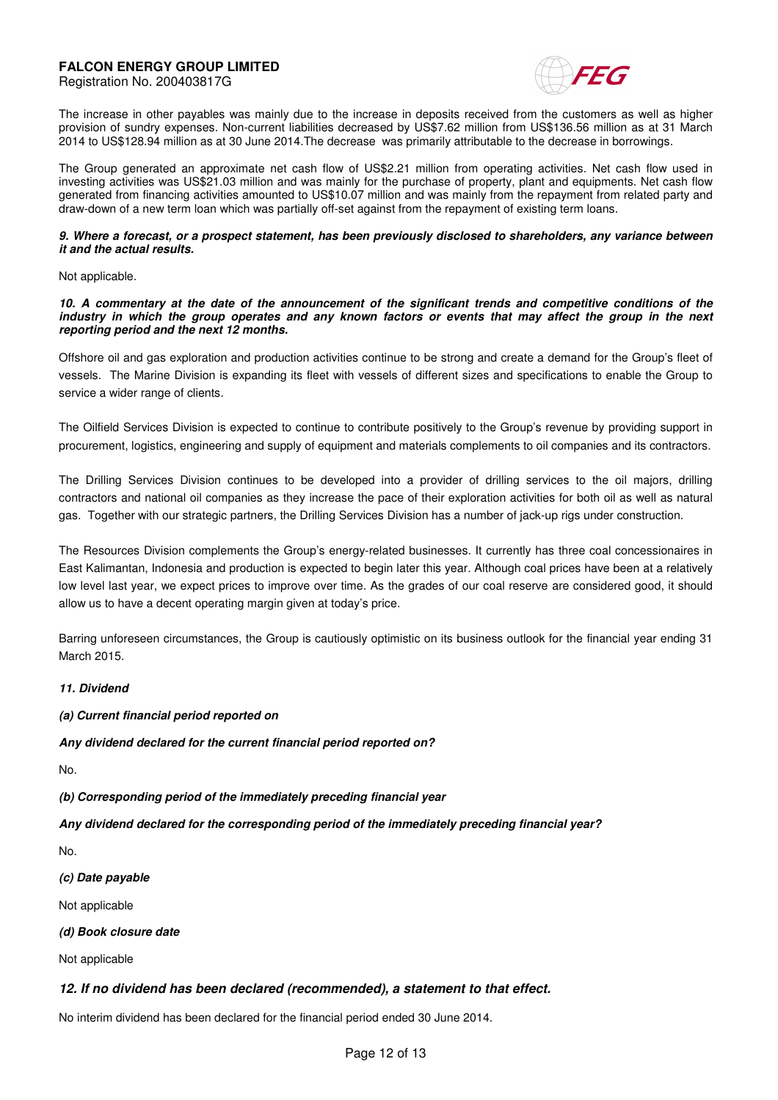Registration No. 200403817G



The increase in other payables was mainly due to the increase in deposits received from the customers as well as higher provision of sundry expenses. Non-current liabilities decreased by US\$7.62 million from US\$136.56 million as at 31 March 2014 to US\$128.94 million as at 30 June 2014.The decrease was primarily attributable to the decrease in borrowings.

The Group generated an approximate net cash flow of US\$2.21 million from operating activities. Net cash flow used in investing activities was US\$21.03 million and was mainly for the purchase of property, plant and equipments. Net cash flow generated from financing activities amounted to US\$10.07 million and was mainly from the repayment from related party and draw-down of a new term loan which was partially off-set against from the repayment of existing term loans.

#### **9. Where a forecast, or a prospect statement, has been previously disclosed to shareholders, any variance between it and the actual results.**

Not applicable.

#### **10. A commentary at the date of the announcement of the significant trends and competitive conditions of the industry in which the group operates and any known factors or events that may affect the group in the next reporting period and the next 12 months.**

Offshore oil and gas exploration and production activities continue to be strong and create a demand for the Group's fleet of vessels. The Marine Division is expanding its fleet with vessels of different sizes and specifications to enable the Group to service a wider range of clients.

The Oilfield Services Division is expected to continue to contribute positively to the Group's revenue by providing support in procurement, logistics, engineering and supply of equipment and materials complements to oil companies and its contractors.

The Drilling Services Division continues to be developed into a provider of drilling services to the oil majors, drilling contractors and national oil companies as they increase the pace of their exploration activities for both oil as well as natural gas. Together with our strategic partners, the Drilling Services Division has a number of jack-up rigs under construction.

The Resources Division complements the Group's energy-related businesses. It currently has three coal concessionaires in East Kalimantan, Indonesia and production is expected to begin later this year. Although coal prices have been at a relatively low level last year, we expect prices to improve over time. As the grades of our coal reserve are considered good, it should allow us to have a decent operating margin given at today's price.

Barring unforeseen circumstances, the Group is cautiously optimistic on its business outlook for the financial year ending 31 March 2015.

# **11. Dividend**

**(a) Current financial period reported on** 

**Any dividend declared for the current financial period reported on?** 

No.

**(b) Corresponding period of the immediately preceding financial year** 

**Any dividend declared for the corresponding period of the immediately preceding financial year?** 

No.

**(c) Date payable** 

Not applicable

**(d) Book closure date** 

Not applicable

# **12. If no dividend has been declared (recommended), a statement to that effect.**

No interim dividend has been declared for the financial period ended 30 June 2014.